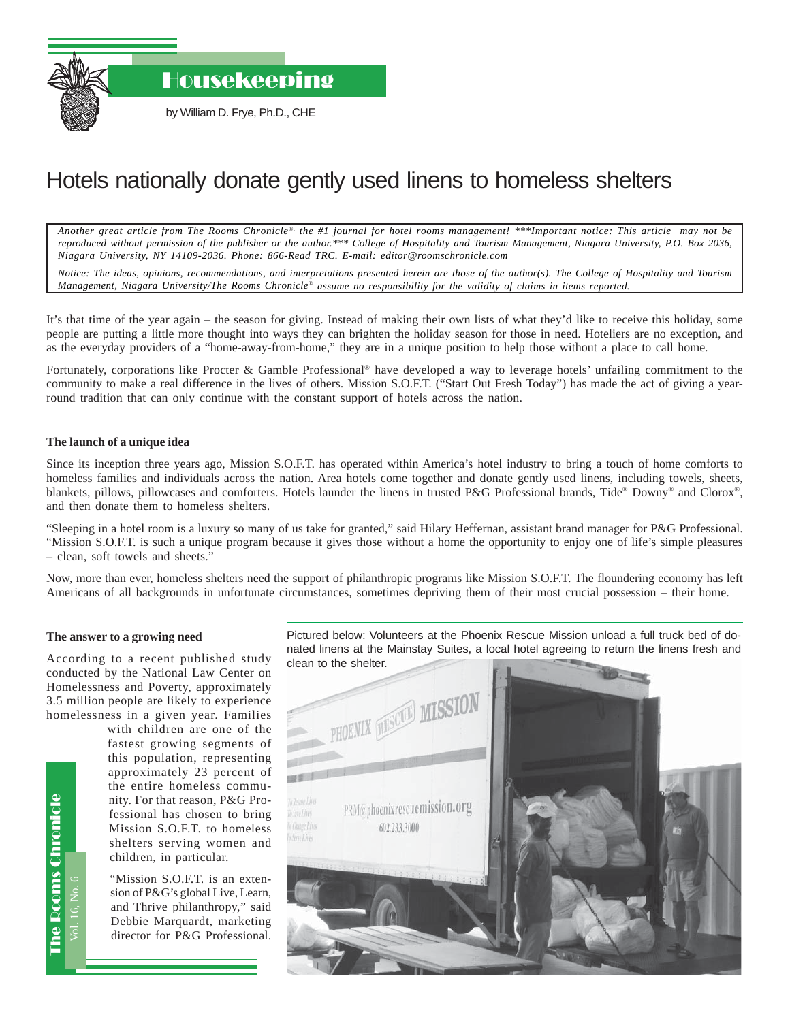Housekeeping

by William D. Frye, Ph.D., CHE

## Hotels nationally donate gently used linens to homeless shelters

*Another great article from The Rooms Chronicle*®*, the #1 journal for hotel rooms management! \*\*\*Important notice: This article may not be reproduced without permission of the publisher or the author.\*\*\* College of Hospitality and Tourism Management, Niagara University, P.O. Box 2036, Niagara University, NY 14109-2036. Phone: 866-Read TRC. E-mail: editor@roomschronicle.com*

*Notice: The ideas, opinions, recommendations, and interpretations presented herein are those of the author(s). The College of Hospitality and Tourism Management, Niagara University/The Rooms Chronicle*® *assume no responsibility for the validity of claims in items reported.*

It's that time of the year again – the season for giving. Instead of making their own lists of what they'd like to receive this holiday, some people are putting a little more thought into ways they can brighten the holiday season for those in need. Hoteliers are no exception, and as the everyday providers of a "home-away-from-home," they are in a unique position to help those without a place to call home.

Fortunately, corporations like Procter & Gamble Professional® have developed a way to leverage hotels' unfailing commitment to the community to make a real difference in the lives of others. Mission S.O.F.T. ("Start Out Fresh Today") has made the act of giving a yearround tradition that can only continue with the constant support of hotels across the nation.

## **The launch of a unique idea**

Since its inception three years ago, Mission S.O.F.T. has operated within America's hotel industry to bring a touch of home comforts to homeless families and individuals across the nation. Area hotels come together and donate gently used linens, including towels, sheets, blankets, pillows, pillowcases and comforters. Hotels launder the linens in trusted P&G Professional brands, Tide® Downy® and Clorox®, and then donate them to homeless shelters.

"Sleeping in a hotel room is a luxury so many of us take for granted," said Hilary Heffernan, assistant brand manager for P&G Professional. "Mission S.O.F.T. is such a unique program because it gives those without a home the opportunity to enjoy one of life's simple pleasures – clean, soft towels and sheets."

Now, more than ever, homeless shelters need the support of philanthropic programs like Mission S.O.F.T. The floundering economy has left Americans of all backgrounds in unfortunate circumstances, sometimes depriving them of their most crucial possession – their home.

## **The answer to a growing need**

According to a recent published study conducted by the National Law Center on Homelessness and Poverty, approximately 3.5 million people are likely to experience homelessness in a given year. Families

> with children are one of the fastest growing segments of this population, representing approximately 23 percent of the entire homeless community. For that reason, P&G Professional has chosen to bring Mission S.O.F.T. to homeless shelters serving women and children, in particular.

"Mission S.O.F.T. is an extension of P&G's global Live, Learn, and Thrive philanthropy," said Debbie Marquardt, marketing director for P&G Professional. Pictured below: Volunteers at the Phoenix Rescue Mission unload a full truck bed of donated linens at the Mainstay Suites, a local hotel agreeing to return the linens fresh and clean to the shelter.